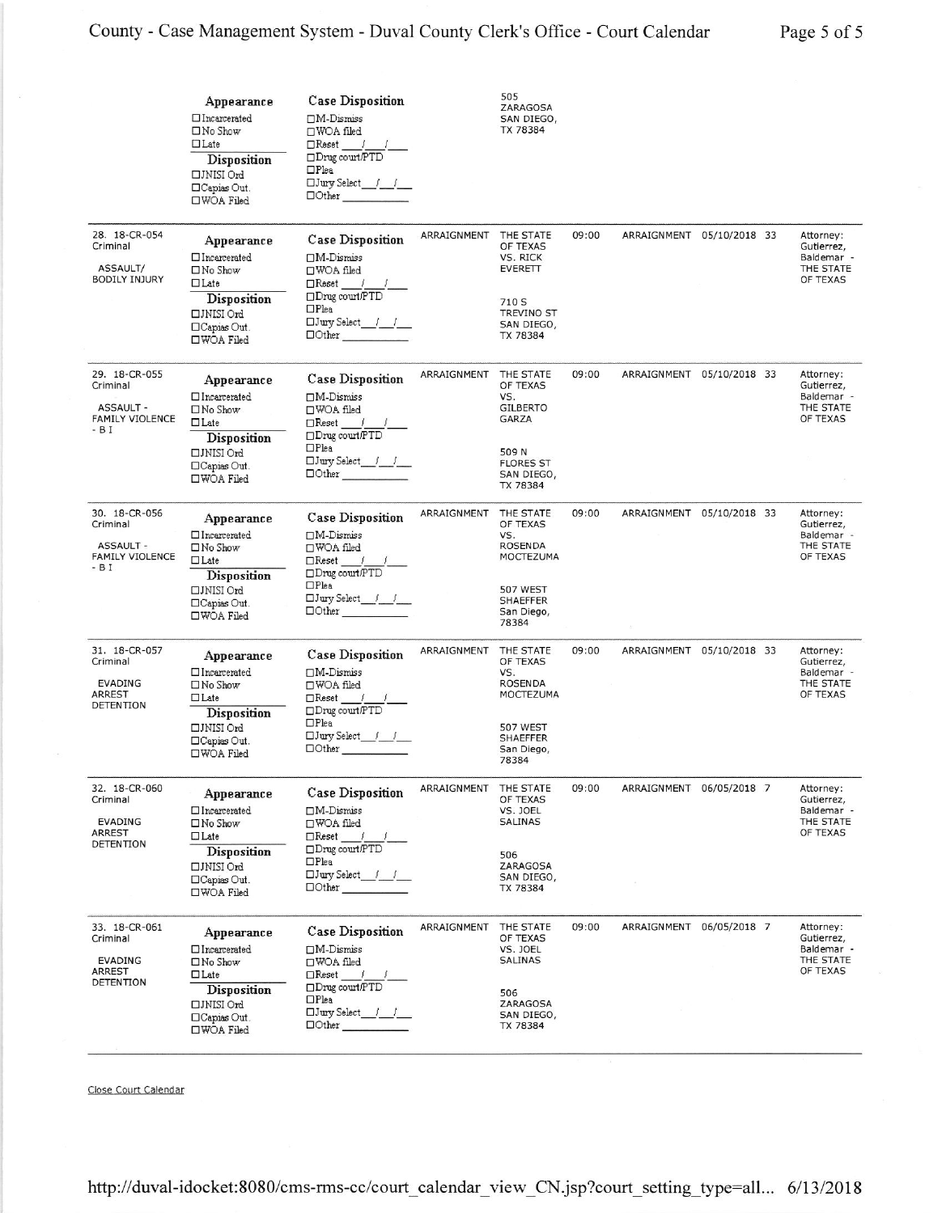|                                                                           | Appearance<br>$\Box$ Incarcerated<br>$\Box$ No Show<br>$\Box$ Late<br>Disposition<br>□JNISI Ord<br>$\Box$ Capias Out.<br>$\square$ WOA Filed | <b>Case Disposition</b><br>$\Box$ M-Dismiss<br>□WOA filed<br>$\Box$ Reset /<br>$\Box$ Drug court/PTD<br>$\Box$ Plea<br>$\Box$ Jury Select $f \quad f$<br>$\Box$ Other       |             | 505<br>ZARAGOSA<br>SAN DIEGO,<br>TX 78384                                                                       |       |                           |  |                                                                |
|---------------------------------------------------------------------------|----------------------------------------------------------------------------------------------------------------------------------------------|-----------------------------------------------------------------------------------------------------------------------------------------------------------------------------|-------------|-----------------------------------------------------------------------------------------------------------------|-------|---------------------------|--|----------------------------------------------------------------|
| 28. 18-CR-054<br>Criminal<br>ASSAULT/<br><b>BODILY INJURY</b>             | Appearance<br>$\Box$ Incarcerated<br>$\square$ No Show<br>$\Box$ Late<br>Disposition<br>□JNISI Ord<br>$\Box$ Capias Out.<br>□WOA Filed       | <b>Case Disposition</b><br>$\Box$ M-Dismiss<br>□WOA filed<br>$\Box$ Reset / /<br>□Drug court/PTD<br>$\Box$ Plea<br>$\Box$ Other                                             | ARRAIGNMENT | THE STATE<br>OF TEXAS<br>VS. RICK<br><b>EVERETT</b><br>710 S<br>TREVINO ST<br>SAN DIEGO,<br>TX 78384            | 09:00 | ARRAIGNMENT 05/10/2018 33 |  | Attorney:<br>Gutierrez,<br>Baldemar -<br>THE STATE<br>OF TEXAS |
| 29. 18-CR-055<br>Criminal<br><b>ASSAULT -</b><br>FAMILY VIOLENCE<br>- B I | Appearance<br>$\Box$ Incarcerated<br>$\square$ No Show<br>$\Box$ Late<br>Disposition<br>□JNISI Ord<br>□Capias Out.<br>□WOA Filed             | <b>Case Disposition</b><br>$\Box$ M-Dismiss<br>□WOA filed<br>$\Box$ Reset / /<br>$\Box$ Drug court/PTD<br>$\Box$ Plea<br>$\Box$ Jury Select $\qquad \qquad$<br>$\Box$ Other | ARRAIGNMENT | THE STATE<br>OF TEXAS<br>VS.<br><b>GILBERTO</b><br>GARZA<br>509 N<br><b>FLORES ST</b><br>SAN DIEGO,<br>TX 78384 | 09:00 | ARRAIGNMENT 05/10/2018 33 |  | Attorney:<br>Gutierrez,<br>Baldemar -<br>THE STATE<br>OF TEXAS |
| 30. 18-CR-056<br>Criminal<br><b>ASSAULT -</b><br>FAMILY VIOLENCE<br>- B I | Appearance<br>$\Box$ Incarcerated<br>$\Box$ No Show<br>$\Box$ Late<br>Disposition<br>□JNISI Ord<br>□Capias Out.<br>□WOA Filed                | <b>Case Disposition</b><br>$\Box$ M-Dismiss<br>□WOA filed<br>$\Box$ Reset / /<br>□Drug court/PTD<br>$\Box$ Plea<br>$\Box$ Other                                             | ARRAIGNMENT | THE STATE<br>OF TEXAS<br>VS.<br>ROSENDA<br>MOCTEZUMA<br>507 WEST<br><b>SHAEFFER</b><br>San Diego,<br>78384      | 09:00 | ARRAIGNMENT 05/10/2018 33 |  | Attorney:<br>Gutierrez,<br>Baldemar -<br>THE STATE<br>OF TEXAS |
| 31. 18-CR-057<br>Criminal<br><b>EVADING</b><br>ARREST<br>DETENTION        | Appearance<br>$\Box$ Incarcerated<br>$\Box$ No Show<br>$\Box$ Late<br>Disposition<br>□JNISI Ord<br>□Capias Out.<br>□WOA Filed                | <b>Case Disposition</b><br>$\Box$ M-Dismiss<br>□WOA filed<br>$\Box$ Reset /<br>□Drug court/PTD<br>$\Box$ Plea<br>$\Box$ Jury Select $f = f$<br>$\Box$ Other                 | ARRAIGNMENT | THE STATE<br>OF TEXAS<br>VS.<br>ROSENDA<br>MOCTEZUMA<br>507 WEST<br><b>SHAEFFER</b><br>San Diego,<br>78384      | 09:00 | ARRAIGNMENT 05/10/2018 33 |  | Attorney:<br>Gutierrez,<br>Baldemar -<br>THE STATE<br>OF TEXAS |
| 32. 18-CR-060<br>Criminal<br><b>EVADING</b><br><b>ARREST</b><br>DETENTION | Appearance<br>□Incarcerated<br>$\Box$ No Show<br>$\Box$ Late<br><b>Disposition</b><br>□JNISI Ord<br>□Capias Out.<br>□WOA Filed               | <b>Case Disposition</b><br>$\Box$ M-Dismiss<br>□WOA filed<br>$\Box$ Reset /<br>□Drug court/PTD<br>$\Box$ Plea<br>$\Box$ Jury Select / /<br>$\Box$ Other                     | ARRAIGNMENT | THE STATE<br>OF TEXAS<br>VS. JOEL<br>SALINAS<br>506<br>ZARAGOSA<br>SAN DIEGO,<br>TX 78384                       | 09:00 | ARRAIGNMENT 06/05/2018 7  |  | Attorney:<br>Gutierrez,<br>Baldemar -<br>THE STATE<br>OF TEXAS |
| 33. 18-CR-061<br>Criminal<br><b>EVADING</b><br><b>ARREST</b><br>DETENTION | Appearance<br>□Incarcerated<br>$\square$ No Show<br>$\Box$ Late<br>Disposition<br>□JNISI Ord<br>□Capias Out.<br>□WOA Filed                   | <b>Case Disposition</b><br>$\Box$ M-Dismiss<br>□WOA filed<br>$\Box$ Reset /<br>□Drug court/PTD<br>$\Box$ Plea<br>$\Box$ Jury Select $f \quad f$<br>$\Box$ Other             | ARRAIGNMENT | THE STATE<br>OF TEXAS<br>VS. JOEL<br>SALINAS<br>506<br>ZARAGOSA<br>SAN DIEGO,<br>TX 78384                       | 09:00 | ARRAIGNMENT 06/05/2018 7  |  | Attorney:<br>Gutierrez,<br>Baldemar -<br>THE STATE<br>OF TEXAS |

Close Court Calendar

http://duval-idocket:8080/cms-rms-cc/court\_calendar\_view\_CN.jsp?court\_setting\_type=all... 6/13/2018